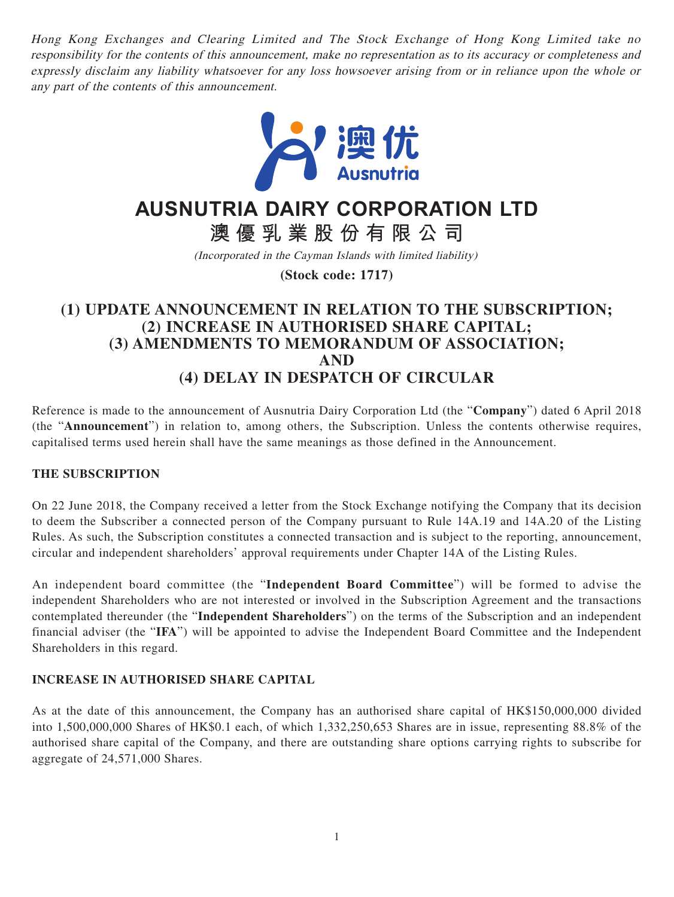Hong Kong Exchanges and Clearing Limited and The Stock Exchange of Hong Kong Limited take no responsibility for the contents of this announcement, make no representation as to its accuracy or completeness and expressly disclaim any liability whatsoever for any loss howsoever arising from or in reliance upon the whole or any part of the contents of this announcement.



# **AUSNUTRIA DAIRY CORPORATION LTD**

**澳優乳業股份有限公司**

(Incorporated in the Cayman Islands with limited liability)

**(Stock code: 1717)**

# **(1) UPDATE ANNOUNCEMENT IN RELATION TO THE SUBSCRIPTION; (2) INCREASE IN AUTHORISED SHARE CAPITAL; (3) AMENDMENTS TO MEMORANDUM OF ASSOCIATION; AND (4) DELAY IN DESPATCH OF CIRCULAR**

Reference is made to the announcement of Ausnutria Dairy Corporation Ltd (the "**Company**") dated 6 April 2018 (the "**Announcement**") in relation to, among others, the Subscription. Unless the contents otherwise requires, capitalised terms used herein shall have the same meanings as those defined in the Announcement.

## **THE SUBSCRIPTION**

On 22 June 2018, the Company received a letter from the Stock Exchange notifying the Company that its decision to deem the Subscriber a connected person of the Company pursuant to Rule 14A.19 and 14A.20 of the Listing Rules. As such, the Subscription constitutes a connected transaction and is subject to the reporting, announcement, circular and independent shareholders' approval requirements under Chapter 14A of the Listing Rules.

An independent board committee (the "**Independent Board Committee**") will be formed to advise the independent Shareholders who are not interested or involved in the Subscription Agreement and the transactions contemplated thereunder (the "**Independent Shareholders**") on the terms of the Subscription and an independent financial adviser (the "**IFA**") will be appointed to advise the Independent Board Committee and the Independent Shareholders in this regard.

#### **INCREASE IN AUTHORISED SHARE CAPITAL**

As at the date of this announcement, the Company has an authorised share capital of HK\$150,000,000 divided into 1,500,000,000 Shares of HK\$0.1 each, of which 1,332,250,653 Shares are in issue, representing 88.8% of the authorised share capital of the Company, and there are outstanding share options carrying rights to subscribe for aggregate of 24,571,000 Shares.